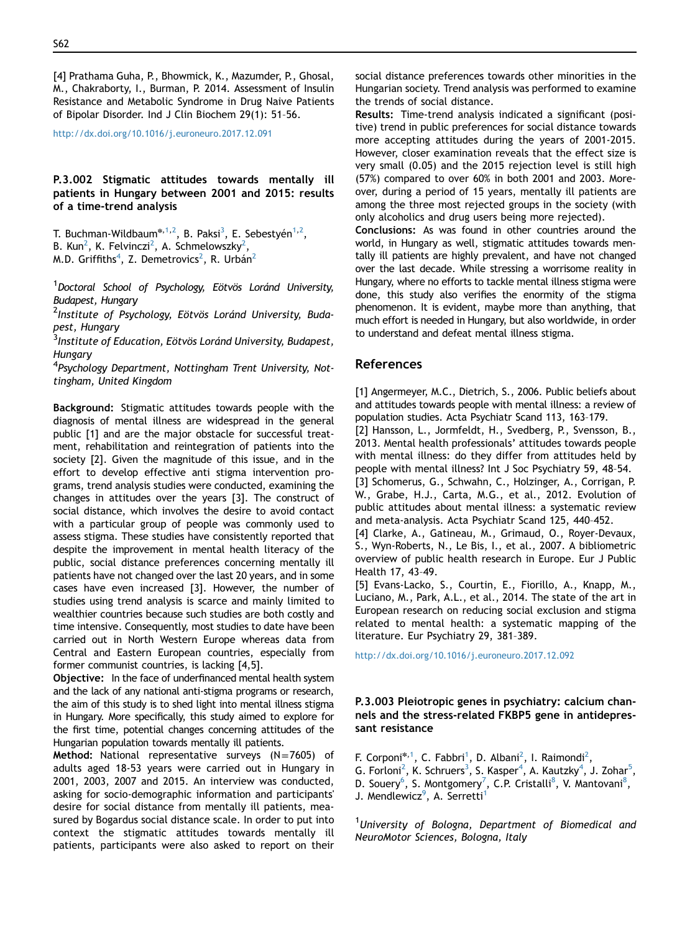[4] Prathama Guha, P., Bhowmick, K., Mazumder, P., Ghosal, M., Chakraborty, I., Burman, P. 2014. Assessment of Insulin Resistance and Metabolic Syndrome in Drug Naive Patients of Bipolar Disorder. Ind J Clin Biochem 29(1): 51–56.

[http://dx.doi.org/10.1016/j.euroneuro.2017.12.091](dx.doi.org/10.1016/j.euroneuro.2017.12.091)

P.3.002 Stigmatic attitudes towards mentally ill patients in Hungary between 2001 and 2015: results of a time-trend analysis

T. Buchman-Wildbaum $^{\ast,1,2}$ , B. Paksi $^3$ , E. Sebestyén $^{1,2}$ ,

B. Kun<sup>2</sup>, K. Felvinczi<sup>2</sup>, A. Schmelowszky<sup>2</sup>,

M.D. Griffiths<sup>4</sup>, Z. Demetrovics<sup>2</sup>, R. Urbán<sup>2</sup>

<sup>1</sup> Doctoral School of Psychology, Eötvös Loránd University, Budapest, Hungary

<sup>2</sup>Institute of Psychology, Eötvös Loránd University, Budapest, Hungary

<sup>3</sup>Institute of Education, Eötvös Loránd University, Budapest, **Hungary** 

<sup>4</sup>Psychology Department, Nottingham Trent University, Nottingham, United Kingdom

Background: Stigmatic attitudes towards people with the diagnosis of mental illness are widespread in the general public [1] and are the major obstacle for successful treatment, rehabilitation and reintegration of patients into the society [2]. Given the magnitude of this issue, and in the effort to develop effective anti stigma intervention programs, trend analysis studies were conducted, examining the changes in attitudes over the years [3]. The construct of social distance, which involves the desire to avoid contact with a particular group of people was commonly used to assess stigma. These studies have consistently reported that despite the improvement in mental health literacy of the public, social distance preferences concerning mentally ill patients have not changed over the last 20 years, and in some cases have even increased [3]. However, the number of studies using trend analysis is scarce and mainly limited to wealthier countries because such studies are both costly and time intensive. Consequently, most studies to date have been carried out in North Western Europe whereas data from Central and Eastern European countries, especially from former communist countries, is lacking [4,5].

Objective: In the face of underfinanced mental health system and the lack of any national anti-stigma programs or research, the aim of this study is to shed light into mental illness stigma in Hungary. More specifically, this study aimed to explore for the first time, potential changes concerning attitudes of the Hungarian population towards mentally ill patients.

Method: National representative surveys  $(N=7605)$  of adults aged 18-53 years were carried out in Hungary in 2001, 2003, 2007 and 2015. An interview was conducted, asking for socio-demographic information and participants' desire for social distance from mentally ill patients, measured by Bogardus social distance scale. In order to put into context the stigmatic attitudes towards mentally ill patients, participants were also asked to report on their social distance preferences towards other minorities in the Hungarian society. Trend analysis was performed to examine the trends of social distance.

Results: Time-trend analysis indicated a significant (positive) trend in public preferences for social distance towards more accepting attitudes during the years of 2001-2015. However, closer examination reveals that the effect size is very small (0.05) and the 2015 rejection level is still high (57%) compared to over 60% in both 2001 and 2003. Moreover, during a period of 15 years, mentally ill patients are among the three most rejected groups in the society (with only alcoholics and drug users being more rejected).

Conclusions: As was found in other countries around the world, in Hungary as well, stigmatic attitudes towards mentally ill patients are highly prevalent, and have not changed over the last decade. While stressing a worrisome reality in Hungary, where no efforts to tackle mental illness stigma were done, this study also verifies the enormity of the stigma phenomenon. It is evident, maybe more than anything, that much effort is needed in Hungary, but also worldwide, in order to understand and defeat mental illness stigma.

## References

[1] Angermeyer, M.C., Dietrich, S., 2006. Public beliefs about and attitudes towards people with mental illness: a review of population studies. Acta Psychiatr Scand 113, 163–179.

[2] Hansson, L., Jormfeldt, H., Svedberg, P., Svensson, B., 2013. Mental health professionals' attitudes towards people with mental illness: do they differ from attitudes held by people with mental illness? Int J Soc Psychiatry 59, 48–54.

[3] Schomerus, G., Schwahn, C., Holzinger, A., Corrigan, P. W., Grabe, H.J., Carta, M.G., et al., 2012. Evolution of public attitudes about mental illness: a systematic review and meta-analysis. Acta Psychiatr Scand 125, 440–452.

[4] Clarke, A., Gatineau, M., Grimaud, O., Royer-Devaux, S., Wyn-Roberts, N., Le Bis, I., et al., 2007. A bibliometric overview of public health research in Europe. Eur J Public Health 17, 43–49.

[5] Evans-Lacko, S., Courtin, E., Fiorillo, A., Knapp, M., Luciano, M., Park, A.L., et al., 2014. The state of the art in European research on reducing social exclusion and stigma related to mental health: a systematic mapping of the literature. Eur Psychiatry 29, 381–389.

[http://dx.doi.org/10.1016/j.euroneuro.2017.12.092](dx.doi.org/10.1016/j.euroneuro.2017.12.092)

## P.3.003 Pleiotropic genes in psychiatry: calcium channels and the stress-related FKBP5 gene in antidepressant resistance

F. Corponi<sup>\*,1</sup>, C. Fabbri<sup>1</sup>, D. Albani<sup>[2](#page-1-0)</sup>, I. Raimondi<sup>2</sup>, G. Forloni<sup>[2](#page-1-0)</sup>, K. Schruers<sup>[3](#page-1-0)</sup>, S. Kasper<sup>[4](#page-1-0)</sup>, A. Kautzky<sup>4</sup>, J. Zohar<sup>[5](#page-1-0)</sup>, D. Souery<sup>[6](#page-1-0)</sup>, S. Montgomery<sup>[7](#page-1-0)</sup>, C.P. Cristalli<sup>[8](#page-1-0)</sup>, V. Mantovani<sup>8</sup>, J. Mendlewicz<sup>[9](#page-1-0)</sup>, A. Serretti<sup>1</sup>

<sup>1</sup>University of Bologna, Department of Biomedical and NeuroMotor Sciences, Bologna, Italy